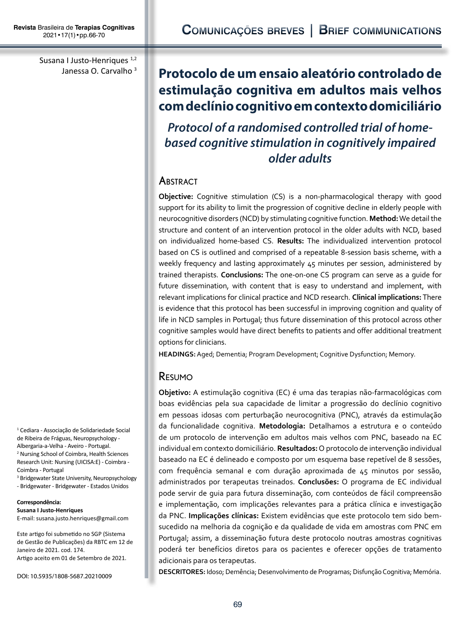Susana I Justo-Henriques<sup>1,2</sup> Janessa O. Carvalho 3

# **Protocolo de um ensaio aleatório controlado de estimulação cognitiva em adultos mais velhos com declínio cognitivo em contexto domiciliário**

*Protocol of a randomised controlled trial of homebased cognitive stimulation in cognitively impaired older adults*

## **ABSTRACT**

**Objective:** Cognitive stimulation (CS) is a non-pharmacological therapy with good support for its ability to limit the progression of cognitive decline in elderly people with neurocognitive disorders (NCD) by stimulating cognitive function. **Method:** We detail the structure and content of an intervention protocol in the older adults with NCD, based on individualized home-based CS. **Results:** The individualized intervention protocol based on CS is outlined and comprised of a repeatable 8-session basis scheme, with a weekly frequency and lasting approximately 45 minutes per session, administered by trained therapists. **Conclusions:** The one-on-one CS program can serve as a guide for future dissemination, with content that is easy to understand and implement, with relevant implications for clinical practice and NCD research. **Clinical implications:** There is evidence that this protocol has been successful in improving cognition and quality of life in NCD samples in Portugal; thus future dissemination of this protocol across other cognitive samples would have direct benefits to patients and offer additional treatment options for clinicians.

**HEADINGS:** Aged; Dementia; Program Development; Cognitive Dysfunction; Memory.

## Resumo

**Objetivo:** A estimulação cognitiva (EC) é uma das terapias não-farmacológicas com boas evidências pela sua capacidade de limitar a progressão do declínio cognitivo em pessoas idosas com perturbação neurocognitiva (PNC), através da estimulação da funcionalidade cognitiva. **Metodologia:** Detalhamos a estrutura e o conteúdo de um protocolo de intervenção em adultos mais velhos com PNC, baseado na EC individual em contexto domiciliário. **Resultados:** O protocolo de intervenção individual baseado na EC é delineado e composto por um esquema base repetível de 8 sessões, com frequência semanal e com duração aproximada de 45 minutos por sessão, administrados por terapeutas treinados. **Conclusões:** O programa de EC individual pode servir de guia para futura disseminação, com conteúdos de fácil compreensão e implementação, com implicações relevantes para a prática clínica e investigação da PNC. **Implicações clínicas:** Existem evidências que este protocolo tem sido bemsucedido na melhoria da cognição e da qualidade de vida em amostras com PNC em Portugal; assim, a disseminação futura deste protocolo noutras amostras cognitivas poderá ter benefícios diretos para os pacientes e oferecer opções de tratamento adicionais para os terapeutas.

**DESCRITORES:** Idoso; Demência; Desenvolvimento de Programas; Disfunção Cognitiva; Memória.

1 Cediara - Associação de Solidariedade Social de Ribeira de Fráguas, Neuropsychology - Albergaria-a-Velha - Aveiro - Portugal. 2 Nursing School of Coimbra, Health Sciences Research Unit: Nursing (UICISA:E) - Coimbra - Coimbra - Portugal

3 Bridgewater State University, Neuropsychology

- Bridgewater - Bridgewater - Estados Unidos

**Correspondência: Susana I Justo-Henriques** E-mail: susana.justo.henriques@gmail.com

Este artigo foi submetido no SGP (Sistema de Gestão de Publicações) da RBTC em 12 de Janeiro de 2021. cod. 174. Artigo aceito em 01 de Setembro de 2021.

DOI: 10.5935/1808-5687.20210009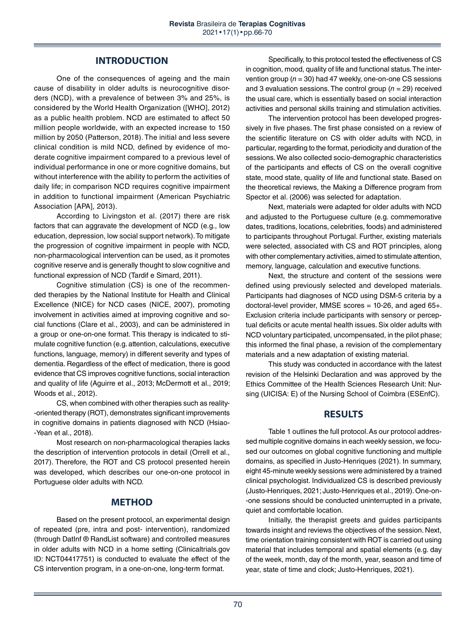### **INTRODUCTION**

One of the consequences of ageing and the main cause of disability in older adults is neurocognitive disorders (NCD), with a prevalence of between 3% and 25%, is considered by the World Health Organization ([WHO], 2012) as a public health problem. NCD are estimated to affect 50 million people worldwide, with an expected increase to 150 million by 2050 (Patterson, 2018). The initial and less severe clinical condition is mild NCD, defined by evidence of moderate cognitive impairment compared to a previous level of individual performance in one or more cognitive domains, but without interference with the ability to perform the activities of daily life; in comparison NCD requires cognitive impairment in addition to functional impairment (American Psychiatric Association [APA], 2013).

According to Livingston et al. (2017) there are risk factors that can aggravate the development of NCD (e.g., low education, depression, low social support network). To mitigate the progression of cognitive impairment in people with NCD, non-pharmacological intervention can be used, as it promotes cognitive reserve and is generally thought to slow cognitive and functional expression of NCD (Tardif e Simard, 2011).

Cognitive stimulation (CS) is one of the recommended therapies by the National Institute for Health and Clinical Excellence (NICE) for NCD cases (NICE, 2007), promoting involvement in activities aimed at improving cognitive and social functions (Clare et al., 2003), and can be administered in a group or one-on-one format. This therapy is indicated to stimulate cognitive function (e.g. attention, calculations, executive functions, language, memory) in different severity and types of dementia. Regardless of the effect of medication, there is good evidence that CS improves cognitive functions, social interaction and quality of life (Aguirre et al., 2013; McDermott et al., 2019; Woods et al., 2012).

CS, when combined with other therapies such as reality- -oriented therapy (ROT), demonstrates significant improvements in cognitive domains in patients diagnosed with NCD (Hsiao- -Yean et al., 2018).

Most research on non-pharmacological therapies lacks the description of intervention protocols in detail (Orrell et al., 2017). Therefore, the ROT and CS protocol presented herein was developed, which describes our one-on-one protocol in Portuguese older adults with NCD.

## **METHOD**

Based on the present protocol, an experimental design of repeated (pre, intra and post- intervention), randomized (through DatInf ® RandList software) and controlled measures in older adults with NCD in a home setting (Clinicaltrials.gov ID: NCT04417751) is conducted to evaluate the effect of the CS intervention program, in a one-on-one, long-term format.

Specifically, to this protocol tested the effectiveness of CS in cognition, mood, quality of life and functional status. The intervention group (*n* = 30) had 47 weekly, one-on-one CS sessions and 3 evaluation sessions. The control group (*n* = 29) received the usual care, which is essentially based on social interaction activities and personal skills training and stimulation activities.

The intervention protocol has been developed progressively in five phases. The first phase consisted on a review of the scientific literature on CS with older adults with NCD, in particular, regarding to the format, periodicity and duration of the sessions. We also collected socio-demographic characteristics of the participants and effects of CS on the overall cognitive state, mood state, quality of life and functional state. Based on the theoretical reviews, the Making a Difference program from Spector et al. (2006) was selected for adaptation.

Next, materials were adapted for older adults with NCD and adjusted to the Portuguese culture (e.g. commemorative dates, traditions, locations, celebrities, foods) and administered to participants throughout Portugal. Further, existing materials were selected, associated with CS and ROT principles, along with other complementary activities, aimed to stimulate attention, memory, language, calculation and executive functions.

Next, the structure and content of the sessions were defined using previously selected and developed materials. Participants had diagnoses of NCD using DSM-5 criteria by a doctoral-level provider, MMSE scores = 10-26, and aged 65+. Exclusion criteria include participants with sensory or perceptual deficits or acute mental health issues. Six older adults with NCD voluntary participated, uncompensated, in the pilot phase; this informed the final phase, a revision of the complementary materials and a new adaptation of existing material.

This study was conducted in accordance with the latest revision of the Helsinki Declaration and was approved by the Ethics Committee of the Health Sciences Research Unit: Nursing (UICISA: E) of the Nursing School of Coimbra (ESEnfC).

## **RESULTS**

Table 1 outlines the full protocol. As our protocol addressed multiple cognitive domains in each weekly session, we focused our outcomes on global cognitive functioning and multiple domains, as specified in Justo-Henriques (2021). In summary, eight 45-minute weekly sessions were administered by a trained clinical psychologist. Individualized CS is described previously (Justo-Henriques, 2021; Justo-Henriques et al., 2019). One-on- -one sessions should be conducted uninterrupted in a private, quiet and comfortable location.

Initially, the therapist greets and guides participants towards insight and reviews the objectives of the session. Next, time orientation training consistent with ROT is carried out using material that includes temporal and spatial elements (e.g. day of the week, month, day of the month, year, season and time of year, state of time and clock; Justo-Henriques, 2021).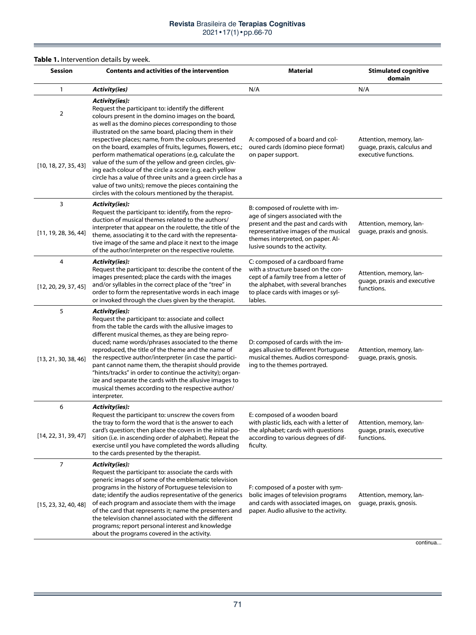#### **Table 1.** Intervention details by week.

**E** 

| <b>Session</b>                         | Contents and activities of the intervention                                                                                                                                                                                                                                                                                                                                                                                                                                                                                                                                                                                                                                                                              | <b>Material</b>                                                                                                                                                                                                              | <b>Stimulated cognitive</b><br>domain                                          |
|----------------------------------------|--------------------------------------------------------------------------------------------------------------------------------------------------------------------------------------------------------------------------------------------------------------------------------------------------------------------------------------------------------------------------------------------------------------------------------------------------------------------------------------------------------------------------------------------------------------------------------------------------------------------------------------------------------------------------------------------------------------------------|------------------------------------------------------------------------------------------------------------------------------------------------------------------------------------------------------------------------------|--------------------------------------------------------------------------------|
| 1                                      | <b>Activity(ies)</b>                                                                                                                                                                                                                                                                                                                                                                                                                                                                                                                                                                                                                                                                                                     | N/A                                                                                                                                                                                                                          | N/A                                                                            |
| $\overline{2}$<br>[10, 18, 27, 35, 43] | Activity(ies):<br>Request the participant to: identify the different<br>colours present in the domino images on the board,<br>as well as the domino pieces corresponding to those<br>illustrated on the same board, placing them in their<br>respective places; name, from the colours presented<br>on the board, examples of fruits, legumes, flowers, etc.;<br>perform mathematical operations (e.g, calculate the<br>value of the sum of the yellow and green circles, giv-<br>ing each colour of the circle a score (e.g. each yellow<br>circle has a value of three units and a green circle has a<br>value of two units); remove the pieces containing the<br>circles with the colours mentioned by the therapist. | A: composed of a board and col-<br>oured cards (domino piece format)<br>on paper support.                                                                                                                                    | Attention, memory, lan-<br>guage, praxis, calculus and<br>executive functions. |
| 3<br>[11, 19, 28, 36, 44]              | Activity(ies):<br>Request the participant to: identify, from the repro-<br>duction of musical themes related to the authors/<br>interpreter that appear on the roulette, the title of the<br>theme, associating it to the card with the representa-<br>tive image of the same and place it next to the image<br>of the author/interpreter on the respective roulette.                                                                                                                                                                                                                                                                                                                                                    | B: composed of roulette with im-<br>age of singers associated with the<br>present and the past and cards with<br>representative images of the musical<br>themes interpreted, on paper. Al-<br>lusive sounds to the activity. | Attention, memory, lan-<br>quage, praxis and gnosis.                           |
| 4<br>[12, 20, 29, 37, 45]              | Activity(ies):<br>Request the participant to: describe the content of the<br>images presented; place the cards with the images<br>and/or syllables in the correct place of the "tree" in<br>order to form the representative words in each image<br>or invoked through the clues given by the therapist.                                                                                                                                                                                                                                                                                                                                                                                                                 | C: composed of a cardboard frame<br>with a structure based on the con-<br>cept of a family tree from a letter of<br>the alphabet, with several branches<br>to place cards with images or syl-<br>lables.                     | Attention, memory, lan-<br>guage, praxis and executive<br>functions.           |
| 5<br>[13, 21, 30, 38, 46]              | Activity(ies):<br>Request the participant to: associate and collect<br>from the table the cards with the allusive images to<br>different musical themes, as they are being repro-<br>duced; name words/phrases associated to the theme<br>reproduced, the title of the theme and the name of<br>the respective author/interpreter (in case the partici-<br>pant cannot name them, the therapist should provide<br>"hints/tracks" in order to continue the activity); organ-<br>ize and separate the cards with the allusive images to<br>musical themes according to the respective author/<br>interpreter.                                                                                                              | D: composed of cards with the im-<br>ages allusive to different Portuguese<br>musical themes. Audios correspond-<br>ing to the themes portrayed.                                                                             | Attention, memory, lan-<br>guage, praxis, gnosis.                              |
| 6<br>[14, 22, 31, 39, 47]              | Activity(ies):<br>Request the participant to: unscrew the covers from<br>the tray to form the word that is the answer to each<br>card's question; then place the covers in the initial po-<br>sition (i.e. in ascending order of alphabet). Repeat the<br>exercise until you have completed the words alluding<br>to the cards presented by the therapist.                                                                                                                                                                                                                                                                                                                                                               | E: composed of a wooden board<br>with plastic lids, each with a letter of<br>the alphabet; cards with questions<br>according to various degrees of dif-<br>ficulty.                                                          | Attention, memory, lan-<br>guage, praxis, executive<br>functions.              |
| $\overline{7}$<br>[15, 23, 32, 40, 48] | <b>Activity(ies):</b><br>Request the participant to: associate the cards with<br>generic images of some of the emblematic television<br>programs in the history of Portuguese television to<br>date; identify the audios representative of the generics<br>of each program and associate them with the image<br>of the card that represents it; name the presenters and<br>the television channel associated with the different<br>programs; report personal interest and knowledge<br>about the programs covered in the activity.                                                                                                                                                                                       | F: composed of a poster with sym-<br>bolic images of television programs<br>and cards with associated images, on<br>paper. Audio allusive to the activity.                                                                   | Attention, memory, lan-<br>quage, praxis, gnosis.<br>continua                  |

۰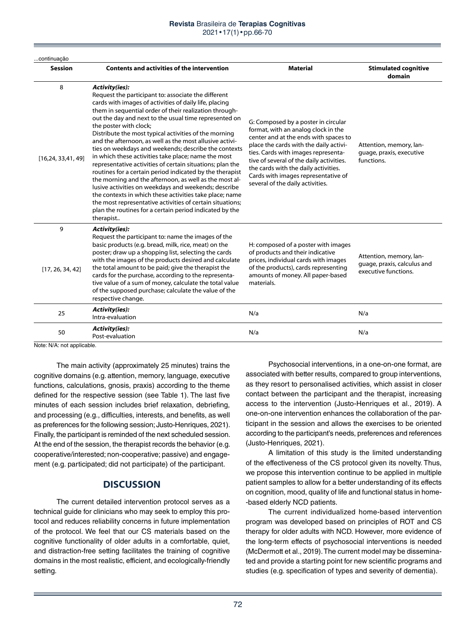#### **Revista** Brasileira de **Terapias Cognitivas** 2021•17(1)•pp.66-70

| continuação               |                                                                                                                                                                                                                                                                                                                                                                                                                                                                                                                                                                                                                                                                                                                                                                                                                                                                                                                                                            |                                                                                                                                                                                                                                                                                                                                                                     |                                                                                |  |
|---------------------------|------------------------------------------------------------------------------------------------------------------------------------------------------------------------------------------------------------------------------------------------------------------------------------------------------------------------------------------------------------------------------------------------------------------------------------------------------------------------------------------------------------------------------------------------------------------------------------------------------------------------------------------------------------------------------------------------------------------------------------------------------------------------------------------------------------------------------------------------------------------------------------------------------------------------------------------------------------|---------------------------------------------------------------------------------------------------------------------------------------------------------------------------------------------------------------------------------------------------------------------------------------------------------------------------------------------------------------------|--------------------------------------------------------------------------------|--|
| <b>Session</b>            | <b>Contents and activities of the intervention</b>                                                                                                                                                                                                                                                                                                                                                                                                                                                                                                                                                                                                                                                                                                                                                                                                                                                                                                         | <b>Material</b>                                                                                                                                                                                                                                                                                                                                                     | <b>Stimulated cognitive</b><br>domain                                          |  |
| 8<br>[16, 24, 33, 41, 49] | Activity(ies):<br>Request the participant to: associate the different<br>cards with images of activities of daily life, placing<br>them in sequential order of their realization through-<br>out the day and next to the usual time represented on<br>the poster with clock;<br>Distribute the most typical activities of the morning<br>and the afternoon, as well as the most allusive activi-<br>ties on weekdays and weekends; describe the contexts<br>in which these activities take place; name the most<br>representative activities of certain situations; plan the<br>routines for a certain period indicated by the therapist<br>the morning and the afternoon, as well as the most al-<br>lusive activities on weekdays and weekends; describe<br>the contexts in which these activities take place; name<br>the most representative activities of certain situations;<br>plan the routines for a certain period indicated by the<br>therapist | G: Composed by a poster in circular<br>format, with an analog clock in the<br>center and at the ends with spaces to<br>place the cards with the daily activi-<br>ties. Cards with images representa-<br>tive of several of the daily activities.<br>the cards with the daily activities.<br>Cards with images representative of<br>several of the daily activities. | Attention, memory, lan-<br>quage, praxis, executive<br>functions.              |  |
| 9<br>[17, 26, 34, 42]     | <b>Activity(ies):</b><br>Request the participant to: name the images of the<br>basic products (e.g. bread, milk, rice, meat) on the<br>poster; draw up a shopping list, selecting the cards<br>with the images of the products desired and calculate<br>the total amount to be paid; give the therapist the<br>cards for the purchase, according to the representa-<br>tive value of a sum of money, calculate the total value<br>of the supposed purchase; calculate the value of the<br>respective change.                                                                                                                                                                                                                                                                                                                                                                                                                                               | H: composed of a poster with images<br>of products and their indicative<br>prices, individual cards with images<br>of the products), cards representing<br>amounts of money. All paper-based<br>materials.                                                                                                                                                          | Attention, memory, lan-<br>quage, praxis, calculus and<br>executive functions. |  |
| 25                        | <b>Activity(ies):</b><br>Intra-evaluation                                                                                                                                                                                                                                                                                                                                                                                                                                                                                                                                                                                                                                                                                                                                                                                                                                                                                                                  | N/a                                                                                                                                                                                                                                                                                                                                                                 | N/a                                                                            |  |
| 50                        | <b>Activity(ies):</b><br>Post-evaluation                                                                                                                                                                                                                                                                                                                                                                                                                                                                                                                                                                                                                                                                                                                                                                                                                                                                                                                   | N/a                                                                                                                                                                                                                                                                                                                                                                 | N/a                                                                            |  |

Note: N/A: not applicable.

The main activity (approximately 25 minutes) trains the cognitive domains (e.g. attention, memory, language, executive functions, calculations, gnosis, praxis) according to the theme defined for the respective session (see Table 1). The last five minutes of each session includes brief relaxation, debriefing, and processing (e.g., difficulties, interests, and benefits, as well as preferences for the following session; Justo-Henriques, 2021). Finally, the participant is reminded of the next scheduled session. At the end of the session, the therapist records the behavior (e.g. cooperative/interested; non-cooperative; passive) and engagement (e.g. participated; did not participate) of the participant.

## **DISCUSSION**

The current detailed intervention protocol serves as a technical guide for clinicians who may seek to employ this protocol and reduces reliability concerns in future implementation of the protocol. We feel that our CS materials based on the cognitive functionality of older adults in a comfortable, quiet, and distraction-free setting facilitates the training of cognitive domains in the most realistic, efficient, and ecologically-friendly setting.

Psychosocial interventions, in a one-on-one format, are associated with better results, compared to group interventions, as they resort to personalised activities, which assist in closer contact between the participant and the therapist, increasing access to the intervention (Justo-Henriques et al., 2019). A one-on-one intervention enhances the collaboration of the participant in the session and allows the exercises to be oriented according to the participant's needs, preferences and references (Justo-Henriques, 2021).

A limitation of this study is the limited understanding of the effectiveness of the CS protocol given its novelty. Thus, we propose this intervention continue to be applied in multiple patient samples to allow for a better understanding of its effects on cognition, mood, quality of life and functional status in home- -based elderly NCD patients.

The current individualized home-based intervention program was developed based on principles of ROT and CS therapy for older adults with NCD. However, more evidence of the long-term effects of psychosocial interventions is needed (McDermott et al., 2019). The current model may be disseminated and provide a starting point for new scientific programs and studies (e.g. specification of types and severity of dementia).